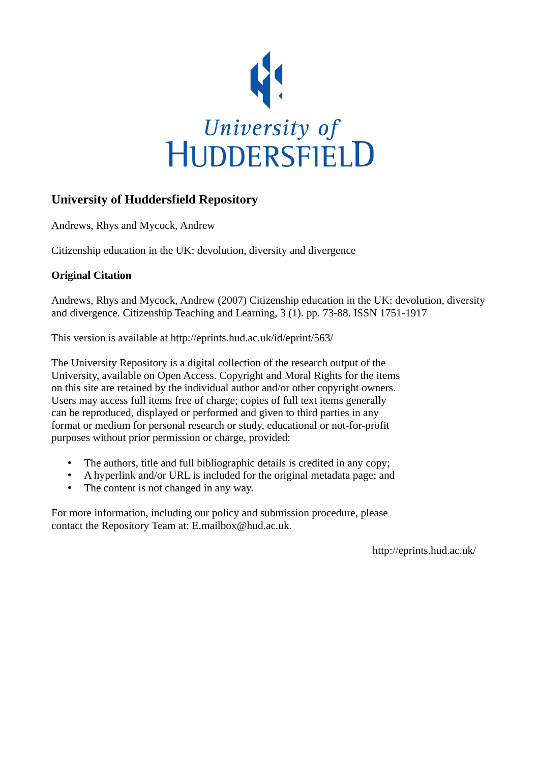

# **University of Huddersfield Repository**

Andrews, Rhys and Mycock, Andrew

Citizenship education in the UK: devolution, diversity and divergence

# **Original Citation**

Andrews, Rhys and Mycock, Andrew (2007) Citizenship education in the UK: devolution, diversity and divergence. Citizenship Teaching and Learning, 3 (1). pp. 73-88. ISSN 1751-1917

This version is available at http://eprints.hud.ac.uk/id/eprint/563/

The University Repository is a digital collection of the research output of the University, available on Open Access. Copyright and Moral Rights for the items on this site are retained by the individual author and/or other copyright owners. Users may access full items free of charge; copies of full text items generally can be reproduced, displayed or performed and given to third parties in any format or medium for personal research or study, educational or not-for-profit purposes without prior permission or charge, provided:

- The authors, title and full bibliographic details is credited in any copy;
- A hyperlink and/or URL is included for the original metadata page; and
- The content is not changed in any way.

For more information, including our policy and submission procedure, please contact the Repository Team at: E.mailbox@hud.ac.uk.

http://eprints.hud.ac.uk/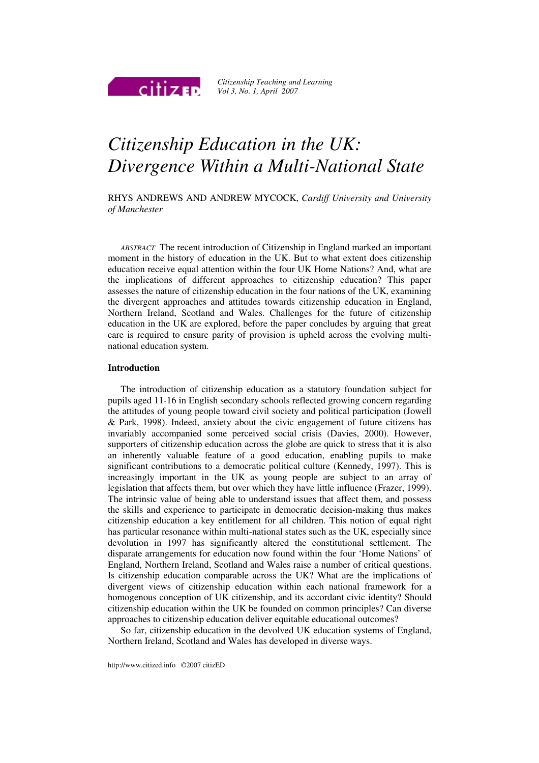

*Citizenship Teaching and Learning Vol 3, No. 1, April 2007*

# *Citizenship Education in the UK: Divergence Within a Multi-National State*

RHYS ANDREWS AND ANDREW MYCOCK, *Cardiff University and University of Manchester*

*ABSTRACT* The recent introduction of Citizenship in England marked an important moment in the history of education in the UK. But to what extent does citizenship education receive equal attention within the four UK Home Nations? And, what are the implications of different approaches to citizenship education? This paper assesses the nature of citizenship education in the four nations of the UK, examining the divergent approaches and attitudes towards citizenship education in England, Northern Ireland, Scotland and Wales. Challenges for the future of citizenship education in the UK are explored, before the paper concludes by arguing that great care is required to ensure parity of provision is upheld across the evolving multinational education system.

#### **Introduction**

The introduction of citizenship education as a statutory foundation subject for pupils aged 11-16 in English secondary schools reflected growing concern regarding the attitudes of young people toward civil society and political participation (Jowell & Park, 1998). Indeed, anxiety about the civic engagement of future citizens has invariably accompanied some perceived social crisis (Davies, 2000). However, supporters of citizenship education across the globe are quick to stress that it is also an inherently valuable feature of a good education, enabling pupils to make significant contributions to a democratic political culture (Kennedy, 1997). This is increasingly important in the UK as young people are subject to an array of legislation that affects them, but over which they have little influence (Frazer, 1999). The intrinsic value of being able to understand issues that affect them, and possess the skills and experience to participate in democratic decision-making thus makes citizenship education a key entitlement for all children. This notion of equal right has particular resonance within multi-national states such as the UK, especially since devolution in 1997 has significantly altered the constitutional settlement. The disparate arrangements for education now found within the four 'Home Nations' of England, Northern Ireland, Scotland and Wales raise a number of critical questions. Is citizenship education comparable across the UK? What are the implications of divergent views of citizenship education within each national framework for a homogenous conception of UK citizenship, and its accordant civic identity? Should citizenship education within the UK be founded on common principles? Can diverse approaches to citizenship education deliver equitable educational outcomes?

So far, citizenship education in the devolved UK education systems of England, Northern Ireland, Scotland and Wales has developed in diverse ways.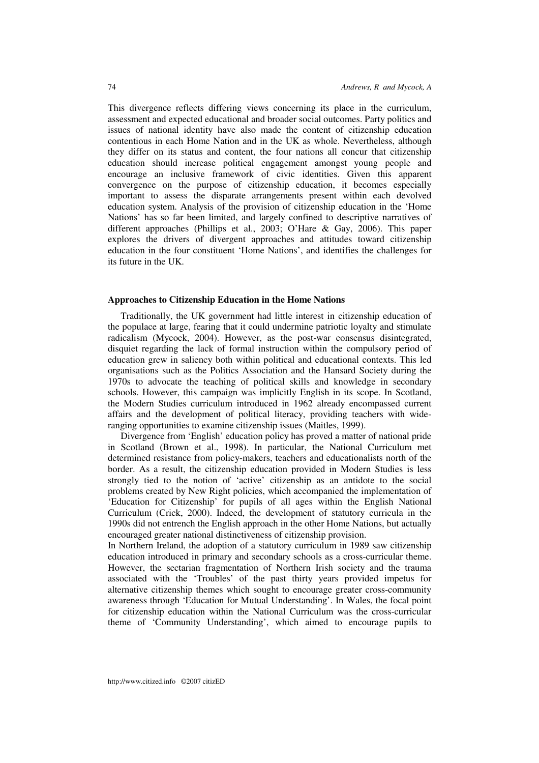This divergence reflects differing views concerning its place in the curriculum, assessment and expected educational and broader social outcomes. Party politics and issues of national identity have also made the content of citizenship education contentious in each Home Nation and in the UK as whole. Nevertheless, although they differ on its status and content, the four nations all concur that citizenship education should increase political engagement amongst young people and encourage an inclusive framework of civic identities. Given this apparent convergence on the purpose of citizenship education, it becomes especially important to assess the disparate arrangements present within each devolved education system. Analysis of the provision of citizenship education in the 'Home Nations' has so far been limited, and largely confined to descriptive narratives of different approaches (Phillips et al., 2003; O'Hare & Gay, 2006). This paper explores the drivers of divergent approaches and attitudes toward citizenship education in the four constituent 'Home Nations', and identifies the challenges for its future in the UK.

#### **Approaches to Citizenship Education in the Home Nations**

Traditionally, the UK government had little interest in citizenship education of the populace at large, fearing that it could undermine patriotic loyalty and stimulate radicalism (Mycock, 2004). However, as the post-war consensus disintegrated, disquiet regarding the lack of formal instruction within the compulsory period of education grew in saliency both within political and educational contexts. This led organisations such as the Politics Association and the Hansard Society during the 1970s to advocate the teaching of political skills and knowledge in secondary schools. However, this campaign was implicitly English in its scope. In Scotland, the Modern Studies curriculum introduced in 1962 already encompassed current affairs and the development of political literacy, providing teachers with wideranging opportunities to examine citizenship issues (Maitles, 1999).

Divergence from 'English' education policy has proved a matter of national pride in Scotland (Brown et al., 1998). In particular, the National Curriculum met determined resistance from policy-makers, teachers and educationalists north of the border. As a result, the citizenship education provided in Modern Studies is less strongly tied to the notion of 'active' citizenship as an antidote to the social problems created by New Right policies, which accompanied the implementation of 'Education for Citizenship' for pupils of all ages within the English National Curriculum (Crick, 2000). Indeed, the development of statutory curricula in the 1990s did not entrench the English approach in the other Home Nations, but actually encouraged greater national distinctiveness of citizenship provision.

In Northern Ireland, the adoption of a statutory curriculum in 1989 saw citizenship education introduced in primary and secondary schools as a cross-curricular theme. However, the sectarian fragmentation of Northern Irish society and the trauma associated with the 'Troubles' of the past thirty years provided impetus for alternative citizenship themes which sought to encourage greater cross-community awareness through 'Education for Mutual Understanding'. In Wales, the focal point for citizenship education within the National Curriculum was the cross-curricular theme of 'Community Understanding', which aimed to encourage pupils to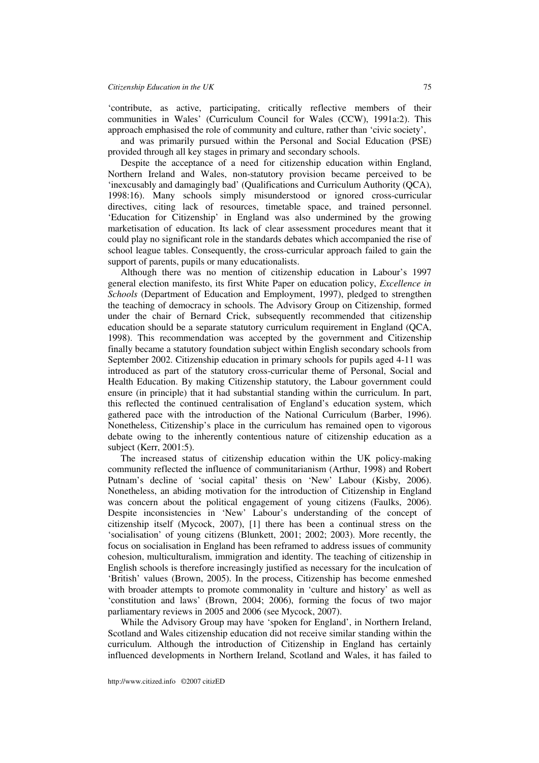'contribute, as active, participating, critically reflective members of their communities in Wales' (Curriculum Council for Wales (CCW), 1991a:2). This approach emphasised the role of community and culture, rather than 'civic society',

and was primarily pursued within the Personal and Social Education (PSE) provided through all key stages in primary and secondary schools.

Despite the acceptance of a need for citizenship education within England, Northern Ireland and Wales, non-statutory provision became perceived to be 'inexcusably and damagingly bad' (Qualifications and Curriculum Authority (QCA), 1998:16). Many schools simply misunderstood or ignored cross-curricular directives, citing lack of resources, timetable space, and trained personnel. 'Education for Citizenship' in England was also undermined by the growing marketisation of education. Its lack of clear assessment procedures meant that it could play no significant role in the standards debates which accompanied the rise of school league tables. Consequently, the cross-curricular approach failed to gain the support of parents, pupils or many educationalists.

Although there was no mention of citizenship education in Labour's 1997 general election manifesto, its first White Paper on education policy, *Excellence in Schools* (Department of Education and Employment, 1997), pledged to strengthen the teaching of democracy in schools. The Advisory Group on Citizenship, formed under the chair of Bernard Crick, subsequently recommended that citizenship education should be a separate statutory curriculum requirement in England (QCA, 1998). This recommendation was accepted by the government and Citizenship finally became a statutory foundation subject within English secondary schools from September 2002. Citizenship education in primary schools for pupils aged 4-11 was introduced as part of the statutory cross-curricular theme of Personal, Social and Health Education. By making Citizenship statutory, the Labour government could ensure (in principle) that it had substantial standing within the curriculum. In part, this reflected the continued centralisation of England's education system, which gathered pace with the introduction of the National Curriculum (Barber, 1996). Nonetheless, Citizenship's place in the curriculum has remained open to vigorous debate owing to the inherently contentious nature of citizenship education as a subject (Kerr, 2001:5).

The increased status of citizenship education within the UK policy-making community reflected the influence of communitarianism (Arthur, 1998) and Robert Putnam's decline of 'social capital' thesis on 'New' Labour (Kisby, 2006). Nonetheless, an abiding motivation for the introduction of Citizenship in England was concern about the political engagement of young citizens (Faulks, 2006). Despite inconsistencies in 'New' Labour's understanding of the concept of citizenship itself (Mycock, 2007), [1] there has been a continual stress on the 'socialisation' of young citizens (Blunkett, 2001; 2002; 2003). More recently, the focus on socialisation in England has been reframed to address issues of community cohesion, multiculturalism, immigration and identity. The teaching of citizenship in English schools is therefore increasingly justified as necessary for the inculcation of 'British' values (Brown, 2005). In the process, Citizenship has become enmeshed with broader attempts to promote commonality in 'culture and history' as well as 'constitution and laws' (Brown, 2004; 2006), forming the focus of two major parliamentary reviews in 2005 and 2006 (see Mycock, 2007).

While the Advisory Group may have 'spoken for England', in Northern Ireland, Scotland and Wales citizenship education did not receive similar standing within the curriculum. Although the introduction of Citizenship in England has certainly influenced developments in Northern Ireland, Scotland and Wales, it has failed to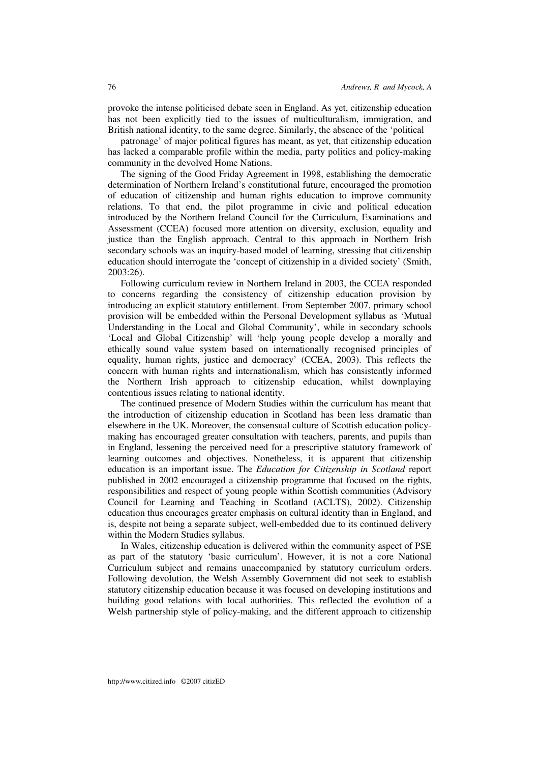provoke the intense politicised debate seen in England. As yet, citizenship education has not been explicitly tied to the issues of multiculturalism, immigration, and British national identity, to the same degree. Similarly, the absence of the 'political

patronage' of major political figures has meant, as yet, that citizenship education has lacked a comparable profile within the media, party politics and policy-making community in the devolved Home Nations.

The signing of the Good Friday Agreement in 1998, establishing the democratic determination of Northern Ireland's constitutional future, encouraged the promotion of education of citizenship and human rights education to improve community relations. To that end, the pilot programme in civic and political education introduced by the Northern Ireland Council for the Curriculum, Examinations and Assessment (CCEA) focused more attention on diversity, exclusion, equality and justice than the English approach. Central to this approach in Northern Irish secondary schools was an inquiry-based model of learning, stressing that citizenship education should interrogate the 'concept of citizenship in a divided society' (Smith, 2003:26).

Following curriculum review in Northern Ireland in 2003, the CCEA responded to concerns regarding the consistency of citizenship education provision by introducing an explicit statutory entitlement. From September 2007, primary school provision will be embedded within the Personal Development syllabus as 'Mutual Understanding in the Local and Global Community', while in secondary schools 'Local and Global Citizenship' will 'help young people develop a morally and ethically sound value system based on internationally recognised principles of equality, human rights, justice and democracy' (CCEA, 2003). This reflects the concern with human rights and internationalism, which has consistently informed the Northern Irish approach to citizenship education, whilst downplaying contentious issues relating to national identity.

The continued presence of Modern Studies within the curriculum has meant that the introduction of citizenship education in Scotland has been less dramatic than elsewhere in the UK. Moreover, the consensual culture of Scottish education policymaking has encouraged greater consultation with teachers, parents, and pupils than in England, lessening the perceived need for a prescriptive statutory framework of learning outcomes and objectives. Nonetheless, it is apparent that citizenship education is an important issue. The *Education for Citizenship in Scotland* report published in 2002 encouraged a citizenship programme that focused on the rights, responsibilities and respect of young people within Scottish communities (Advisory Council for Learning and Teaching in Scotland (ACLTS), 2002). Citizenship education thus encourages greater emphasis on cultural identity than in England, and is, despite not being a separate subject, well-embedded due to its continued delivery within the Modern Studies syllabus.

In Wales, citizenship education is delivered within the community aspect of PSE as part of the statutory 'basic curriculum'. However, it is not a core National Curriculum subject and remains unaccompanied by statutory curriculum orders. Following devolution, the Welsh Assembly Government did not seek to establish statutory citizenship education because it was focused on developing institutions and building good relations with local authorities. This reflected the evolution of a Welsh partnership style of policy-making, and the different approach to citizenship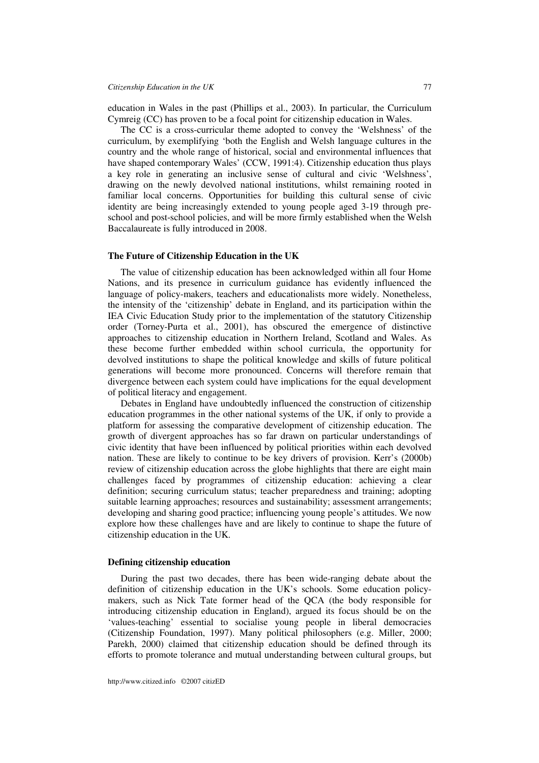education in Wales in the past (Phillips et al., 2003). In particular, the Curriculum Cymreig (CC) has proven to be a focal point for citizenship education in Wales.

The CC is a cross-curricular theme adopted to convey the 'Welshness' of the curriculum, by exemplifying 'both the English and Welsh language cultures in the country and the whole range of historical, social and environmental influences that have shaped contemporary Wales' (CCW, 1991:4). Citizenship education thus plays a key role in generating an inclusive sense of cultural and civic 'Welshness', drawing on the newly devolved national institutions, whilst remaining rooted in familiar local concerns. Opportunities for building this cultural sense of civic identity are being increasingly extended to young people aged 3-19 through preschool and post-school policies, and will be more firmly established when the Welsh Baccalaureate is fully introduced in 2008.

### **The Future of Citizenship Education in the UK**

The value of citizenship education has been acknowledged within all four Home Nations, and its presence in curriculum guidance has evidently influenced the language of policy-makers, teachers and educationalists more widely. Nonetheless, the intensity of the 'citizenship' debate in England, and its participation within the IEA Civic Education Study prior to the implementation of the statutory Citizenship order (Torney-Purta et al., 2001), has obscured the emergence of distinctive approaches to citizenship education in Northern Ireland, Scotland and Wales. As these become further embedded within school curricula, the opportunity for devolved institutions to shape the political knowledge and skills of future political generations will become more pronounced. Concerns will therefore remain that divergence between each system could have implications for the equal development of political literacy and engagement.

Debates in England have undoubtedly influenced the construction of citizenship education programmes in the other national systems of the UK, if only to provide a platform for assessing the comparative development of citizenship education. The growth of divergent approaches has so far drawn on particular understandings of civic identity that have been influenced by political priorities within each devolved nation. These are likely to continue to be key drivers of provision. Kerr's (2000b) review of citizenship education across the globe highlights that there are eight main challenges faced by programmes of citizenship education: achieving a clear definition; securing curriculum status; teacher preparedness and training; adopting suitable learning approaches; resources and sustainability; assessment arrangements; developing and sharing good practice; influencing young people's attitudes. We now explore how these challenges have and are likely to continue to shape the future of citizenship education in the UK.

#### **Defining citizenship education**

During the past two decades, there has been wide-ranging debate about the definition of citizenship education in the UK's schools. Some education policymakers, such as Nick Tate former head of the QCA (the body responsible for introducing citizenship education in England), argued its focus should be on the 'values-teaching' essential to socialise young people in liberal democracies (Citizenship Foundation, 1997). Many political philosophers (e.g. Miller, 2000; Parekh, 2000) claimed that citizenship education should be defined through its efforts to promote tolerance and mutual understanding between cultural groups, but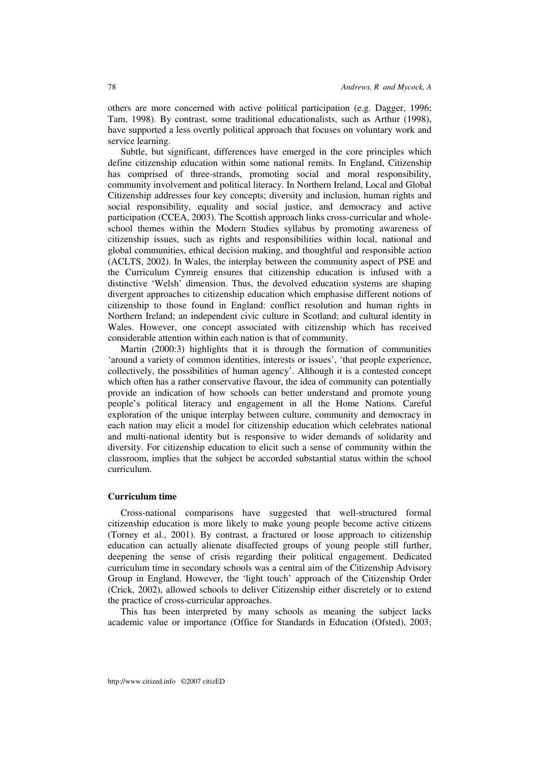others are more concerned with active political participation (e.g. Dagger, 1996; Tam, 1998). By contrast, some traditional educationalists, such as Arthur (1998), have supported a less overtly political approach that focuses on voluntary work and service learning.

Subtle, but significant, differences have emerged in the core principles which define citizenship education within some national remits. In England, Citizenship has comprised of three-strands, promoting social and moral responsibility, community involvement and political literacy. In Northern Ireland, Local and Global Citizenship addresses four key concepts; diversity and inclusion, human rights and social responsibility, equality and social justice, and democracy and active participation (CCEA, 2003). The Scottish approach links cross-curricular and wholeschool themes within the Modern Studies syllabus by promoting awareness of citizenship issues, such as rights and responsibilities within local, national and global communities, ethical decision making, and thoughtful and responsible action (ACLTS, 2002). In Wales, the interplay between the community aspect of PSE and the Curriculum Cymreig ensures that citizenship education is infused with a distinctive 'Welsh' dimension. Thus, the devolved education systems are shaping divergent approaches to citizenship education which emphasise different notions of citizenship to those found in England: conflict resolution and human rights in Northern Ireland; an independent civic culture in Scotland; and cultural identity in Wales. However, one concept associated with citizenship which has received considerable attention within each nation is that of community.

Martin (2000:3) highlights that it is through the formation of communities 'around a variety of common identities, interests or issues', 'that people experience, collectively, the possibilities of human agency'. Although it is a contested concept which often has a rather conservative flavour, the idea of community can potentially provide an indication of how schools can better understand and promote young people's political literacy and engagement in all the Home Nations. Careful exploration of the unique interplay between culture, community and democracy in each nation may elicit a model for citizenship education which celebrates national and multi-national identity but is responsive to wider demands of solidarity and diversity. For citizenship education to elicit such a sense of community within the classroom, implies that the subject be accorded substantial status within the school curriculum.

#### **Curriculum time**

Cross-national comparisons have suggested that well-structured formal citizenship education is more likely to make young people become active citizens (Torney et al., 2001). By contrast, a fractured or loose approach to citizenship education can actually alienate disaffected groups of young people still further, deepening the sense of crisis regarding their political engagement. Dedicated curriculum time in secondary schools was a central aim of the Citizenship Advisory Group in England. However, the 'light touch' approach of the Citizenship Order (Crick, 2002), allowed schools to deliver Citizenship either discretely or to extend the practice of cross-curricular approaches.

This has been interpreted by many schools as meaning the subject lacks academic value or importance (Office for Standards in Education (Ofsted), 2003;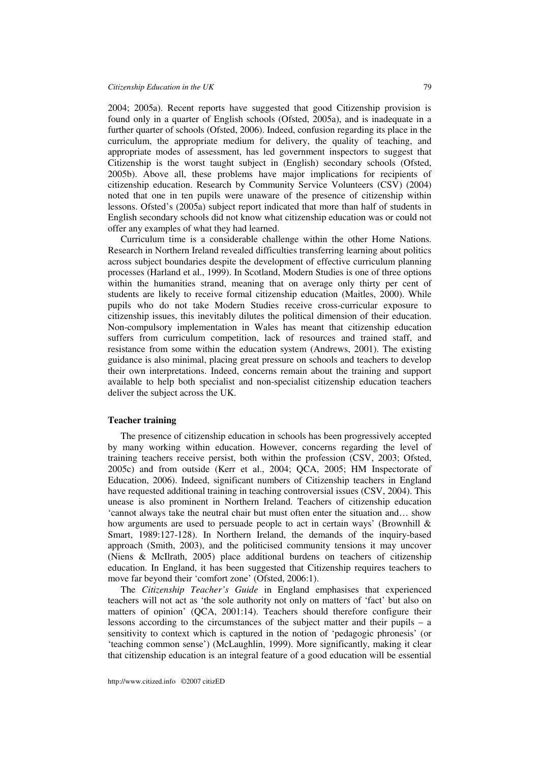2004; 2005a). Recent reports have suggested that good Citizenship provision is found only in a quarter of English schools (Ofsted, 2005a), and is inadequate in a further quarter of schools (Ofsted, 2006). Indeed, confusion regarding its place in the curriculum, the appropriate medium for delivery, the quality of teaching, and appropriate modes of assessment, has led government inspectors to suggest that Citizenship is the worst taught subject in (English) secondary schools (Ofsted, 2005b). Above all, these problems have major implications for recipients of citizenship education. Research by Community Service Volunteers (CSV) (2004) noted that one in ten pupils were unaware of the presence of citizenship within lessons. Ofsted's (2005a) subject report indicated that more than half of students in English secondary schools did not know what citizenship education was or could not offer any examples of what they had learned.

Curriculum time is a considerable challenge within the other Home Nations. Research in Northern Ireland revealed difficulties transferring learning about politics across subject boundaries despite the development of effective curriculum planning processes (Harland et al., 1999). In Scotland, Modern Studies is one of three options within the humanities strand, meaning that on average only thirty per cent of students are likely to receive formal citizenship education (Maitles, 2000). While pupils who do not take Modern Studies receive cross-curricular exposure to citizenship issues, this inevitably dilutes the political dimension of their education. Non-compulsory implementation in Wales has meant that citizenship education suffers from curriculum competition, lack of resources and trained staff, and resistance from some within the education system (Andrews, 2001). The existing guidance is also minimal, placing great pressure on schools and teachers to develop their own interpretations. Indeed, concerns remain about the training and support available to help both specialist and non-specialist citizenship education teachers deliver the subject across the UK.

# **Teacher training**

The presence of citizenship education in schools has been progressively accepted by many working within education. However, concerns regarding the level of training teachers receive persist, both within the profession (CSV, 2003; Ofsted, 2005c) and from outside (Kerr et al., 2004; QCA, 2005; HM Inspectorate of Education, 2006). Indeed, significant numbers of Citizenship teachers in England have requested additional training in teaching controversial issues (CSV, 2004). This unease is also prominent in Northern Ireland. Teachers of citizenship education 'cannot always take the neutral chair but must often enter the situation and… show how arguments are used to persuade people to act in certain ways' (Brownhill & Smart, 1989:127-128). In Northern Ireland, the demands of the inquiry-based approach (Smith, 2003), and the politicised community tensions it may uncover (Niens & McIlrath, 2005) place additional burdens on teachers of citizenship education. In England, it has been suggested that Citizenship requires teachers to move far beyond their 'comfort zone' (Ofsted, 2006:1).

The *Citizenship Teacher's Guide* in England emphasises that experienced teachers will not act as 'the sole authority not only on matters of 'fact' but also on matters of opinion' (QCA, 2001:14). Teachers should therefore configure their lessons according to the circumstances of the subject matter and their pupils – a sensitivity to context which is captured in the notion of 'pedagogic phronesis' (or 'teaching common sense') (McLaughlin, 1999). More significantly, making it clear that citizenship education is an integral feature of a good education will be essential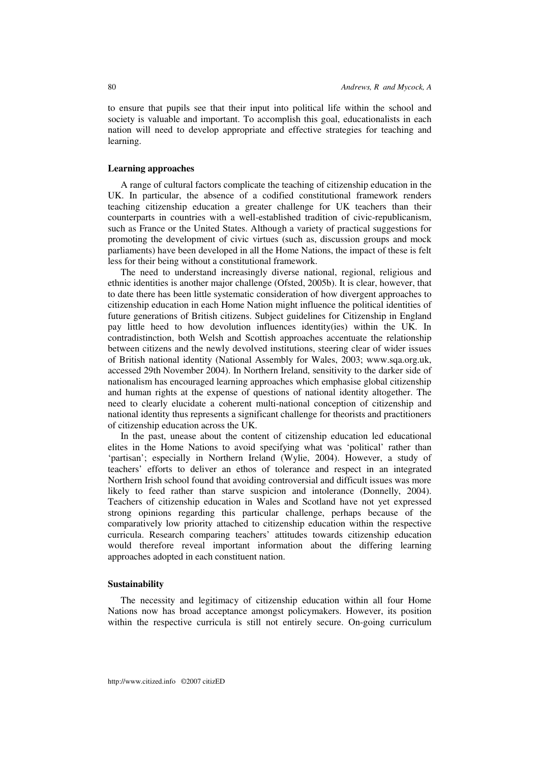to ensure that pupils see that their input into political life within the school and society is valuable and important. To accomplish this goal, educationalists in each nation will need to develop appropriate and effective strategies for teaching and learning.

## **Learning approaches**

A range of cultural factors complicate the teaching of citizenship education in the UK. In particular, the absence of a codified constitutional framework renders teaching citizenship education a greater challenge for UK teachers than their counterparts in countries with a well-established tradition of civic-republicanism, such as France or the United States. Although a variety of practical suggestions for promoting the development of civic virtues (such as, discussion groups and mock parliaments) have been developed in all the Home Nations, the impact of these is felt less for their being without a constitutional framework.

The need to understand increasingly diverse national, regional, religious and ethnic identities is another major challenge (Ofsted, 2005b). It is clear, however, that to date there has been little systematic consideration of how divergent approaches to citizenship education in each Home Nation might influence the political identities of future generations of British citizens. Subject guidelines for Citizenship in England pay little heed to how devolution influences identity(ies) within the UK. In contradistinction, both Welsh and Scottish approaches accentuate the relationship between citizens and the newly devolved institutions, steering clear of wider issues of British national identity (National Assembly for Wales, 2003; www.sqa.org.uk, accessed 29th November 2004). In Northern Ireland, sensitivity to the darker side of nationalism has encouraged learning approaches which emphasise global citizenship and human rights at the expense of questions of national identity altogether. The need to clearly elucidate a coherent multi-national conception of citizenship and national identity thus represents a significant challenge for theorists and practitioners of citizenship education across the UK.

In the past, unease about the content of citizenship education led educational elites in the Home Nations to avoid specifying what was 'political' rather than 'partisan'; especially in Northern Ireland (Wylie, 2004). However, a study of teachers' efforts to deliver an ethos of tolerance and respect in an integrated Northern Irish school found that avoiding controversial and difficult issues was more likely to feed rather than starve suspicion and intolerance (Donnelly, 2004). Teachers of citizenship education in Wales and Scotland have not yet expressed strong opinions regarding this particular challenge, perhaps because of the comparatively low priority attached to citizenship education within the respective curricula. Research comparing teachers' attitudes towards citizenship education would therefore reveal important information about the differing learning approaches adopted in each constituent nation.

#### **Sustainability**

The necessity and legitimacy of citizenship education within all four Home Nations now has broad acceptance amongst policymakers. However, its position within the respective curricula is still not entirely secure. On-going curriculum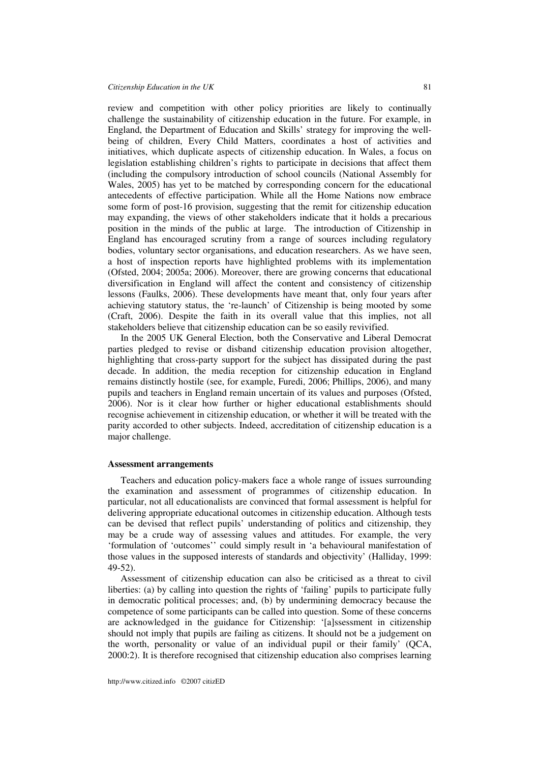review and competition with other policy priorities are likely to continually challenge the sustainability of citizenship education in the future. For example, in England, the Department of Education and Skills' strategy for improving the wellbeing of children, Every Child Matters, coordinates a host of activities and initiatives, which duplicate aspects of citizenship education. In Wales, a focus on legislation establishing children's rights to participate in decisions that affect them (including the compulsory introduction of school councils (National Assembly for Wales, 2005) has yet to be matched by corresponding concern for the educational antecedents of effective participation. While all the Home Nations now embrace some form of post-16 provision, suggesting that the remit for citizenship education may expanding, the views of other stakeholders indicate that it holds a precarious position in the minds of the public at large. The introduction of Citizenship in England has encouraged scrutiny from a range of sources including regulatory bodies, voluntary sector organisations, and education researchers. As we have seen, a host of inspection reports have highlighted problems with its implementation (Ofsted, 2004; 2005a; 2006). Moreover, there are growing concerns that educational diversification in England will affect the content and consistency of citizenship lessons (Faulks, 2006). These developments have meant that, only four years after achieving statutory status, the 're-launch' of Citizenship is being mooted by some (Craft, 2006). Despite the faith in its overall value that this implies, not all stakeholders believe that citizenship education can be so easily revivified.

In the 2005 UK General Election, both the Conservative and Liberal Democrat parties pledged to revise or disband citizenship education provision altogether, highlighting that cross-party support for the subject has dissipated during the past decade. In addition, the media reception for citizenship education in England remains distinctly hostile (see, for example, Furedi, 2006; Phillips, 2006), and many pupils and teachers in England remain uncertain of its values and purposes (Ofsted, 2006). Nor is it clear how further or higher educational establishments should recognise achievement in citizenship education, or whether it will be treated with the parity accorded to other subjects. Indeed, accreditation of citizenship education is a major challenge.

### **Assessment arrangements**

Teachers and education policy-makers face a whole range of issues surrounding the examination and assessment of programmes of citizenship education. In particular, not all educationalists are convinced that formal assessment is helpful for delivering appropriate educational outcomes in citizenship education. Although tests can be devised that reflect pupils' understanding of politics and citizenship, they may be a crude way of assessing values and attitudes. For example, the very 'formulation of 'outcomes'' could simply result in 'a behavioural manifestation of those values in the supposed interests of standards and objectivity' (Halliday, 1999: 49-52).

Assessment of citizenship education can also be criticised as a threat to civil liberties: (a) by calling into question the rights of 'failing' pupils to participate fully in democratic political processes; and, (b) by undermining democracy because the competence of some participants can be called into question. Some of these concerns are acknowledged in the guidance for Citizenship: '[a]ssessment in citizenship should not imply that pupils are failing as citizens. It should not be a judgement on the worth, personality or value of an individual pupil or their family' (QCA, 2000:2). It is therefore recognised that citizenship education also comprises learning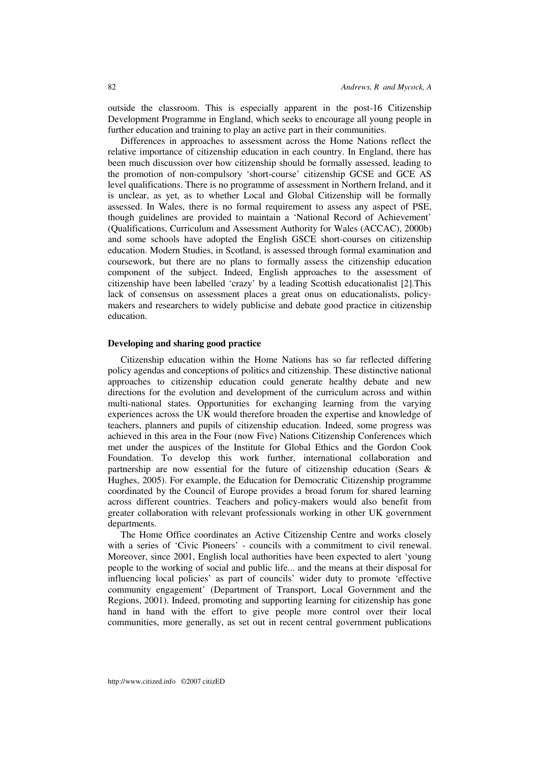outside the classroom. This is especially apparent in the post-16 Citizenship Development Programme in England, which seeks to encourage all young people in further education and training to play an active part in their communities.

Differences in approaches to assessment across the Home Nations reflect the relative importance of citizenship education in each country. In England, there has been much discussion over how citizenship should be formally assessed, leading to the promotion of non-compulsory 'short-course' citizenship GCSE and GCE AS level qualifications. There is no programme of assessment in Northern Ireland, and it is unclear, as yet, as to whether Local and Global Citizenship will be formally assessed. In Wales, there is no formal requirement to assess any aspect of PSE, though guidelines are provided to maintain a 'National Record of Achievement' (Qualifications, Curriculum and Assessment Authority for Wales (ACCAC), 2000b) and some schools have adopted the English GSCE short-courses on citizenship education. Modern Studies, in Scotland, is assessed through formal examination and coursework, but there are no plans to formally assess the citizenship education component of the subject. Indeed, English approaches to the assessment of citizenship have been labelled 'crazy' by a leading Scottish educationalist [2].This lack of consensus on assessment places a great onus on educationalists, policymakers and researchers to widely publicise and debate good practice in citizenship education.

# **Developing and sharing good practice**

Citizenship education within the Home Nations has so far reflected differing policy agendas and conceptions of politics and citizenship. These distinctive national approaches to citizenship education could generate healthy debate and new directions for the evolution and development of the curriculum across and within multi-national states. Opportunities for exchanging learning from the varying experiences across the UK would therefore broaden the expertise and knowledge of teachers, planners and pupils of citizenship education. Indeed, some progress was achieved in this area in the Four (now Five) Nations Citizenship Conferences which met under the auspices of the Institute for Global Ethics and the Gordon Cook Foundation. To develop this work further, international collaboration and partnership are now essential for the future of citizenship education (Sears & Hughes, 2005). For example, the Education for Democratic Citizenship programme coordinated by the Council of Europe provides a broad forum for shared learning across different countries. Teachers and policy-makers would also benefit from greater collaboration with relevant professionals working in other UK government departments.

The Home Office coordinates an Active Citizenship Centre and works closely with a series of 'Civic Pioneers' - councils with a commitment to civil renewal. Moreover, since 2001, English local authorities have been expected to alert 'young people to the working of social and public life... and the means at their disposal for influencing local policies' as part of councils' wider duty to promote 'effective community engagement' (Department of Transport, Local Government and the Regions, 2001). Indeed, promoting and supporting learning for citizenship has gone hand in hand with the effort to give people more control over their local communities, more generally, as set out in recent central government publications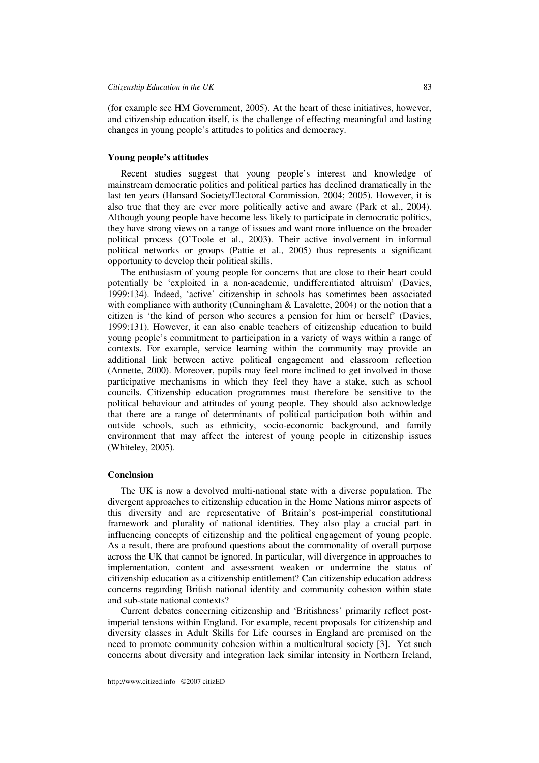(for example see HM Government, 2005). At the heart of these initiatives, however, and citizenship education itself, is the challenge of effecting meaningful and lasting changes in young people's attitudes to politics and democracy.

### **Young people's attitudes**

Recent studies suggest that young people's interest and knowledge of mainstream democratic politics and political parties has declined dramatically in the last ten years (Hansard Society/Electoral Commission, 2004; 2005). However, it is also true that they are ever more politically active and aware (Park et al., 2004). Although young people have become less likely to participate in democratic politics, they have strong views on a range of issues and want more influence on the broader political process (O'Toole et al., 2003). Their active involvement in informal political networks or groups (Pattie et al., 2005) thus represents a significant opportunity to develop their political skills.

The enthusiasm of young people for concerns that are close to their heart could potentially be 'exploited in a non-academic, undifferentiated altruism' (Davies, 1999:134). Indeed, 'active' citizenship in schools has sometimes been associated with compliance with authority (Cunningham & Lavalette, 2004) or the notion that a citizen is 'the kind of person who secures a pension for him or herself' (Davies, 1999:131). However, it can also enable teachers of citizenship education to build young people's commitment to participation in a variety of ways within a range of contexts. For example, service learning within the community may provide an additional link between active political engagement and classroom reflection (Annette, 2000). Moreover, pupils may feel more inclined to get involved in those participative mechanisms in which they feel they have a stake, such as school councils. Citizenship education programmes must therefore be sensitive to the political behaviour and attitudes of young people. They should also acknowledge that there are a range of determinants of political participation both within and outside schools, such as ethnicity, socio-economic background, and family environment that may affect the interest of young people in citizenship issues (Whiteley, 2005).

# **Conclusion**

The UK is now a devolved multi-national state with a diverse population. The divergent approaches to citizenship education in the Home Nations mirror aspects of this diversity and are representative of Britain's post-imperial constitutional framework and plurality of national identities. They also play a crucial part in influencing concepts of citizenship and the political engagement of young people. As a result, there are profound questions about the commonality of overall purpose across the UK that cannot be ignored. In particular, will divergence in approaches to implementation, content and assessment weaken or undermine the status of citizenship education as a citizenship entitlement? Can citizenship education address concerns regarding British national identity and community cohesion within state and sub-state national contexts?

Current debates concerning citizenship and 'Britishness' primarily reflect postimperial tensions within England. For example, recent proposals for citizenship and diversity classes in Adult Skills for Life courses in England are premised on the need to promote community cohesion within a multicultural society [3]. Yet such concerns about diversity and integration lack similar intensity in Northern Ireland,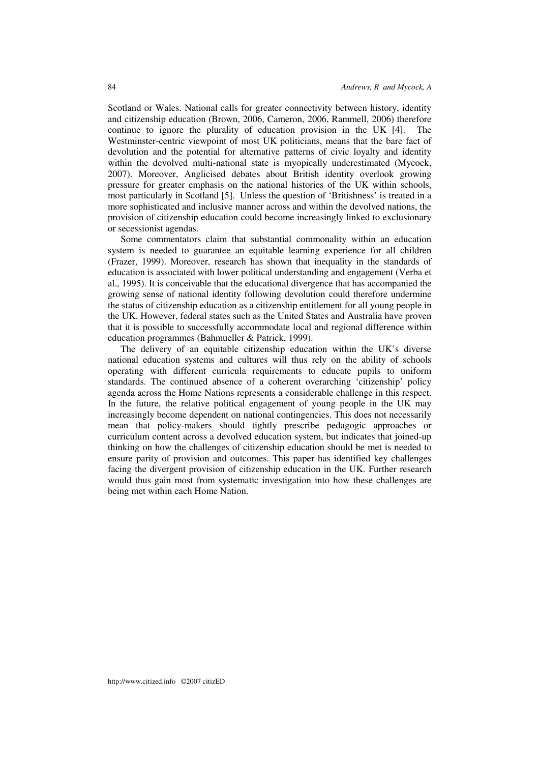Scotland or Wales. National calls for greater connectivity between history, identity and citizenship education (Brown, 2006, Cameron, 2006, Rammell, 2006) therefore continue to ignore the plurality of education provision in the UK [4]. The Westminster-centric viewpoint of most UK politicians, means that the bare fact of devolution and the potential for alternative patterns of civic loyalty and identity within the devolved multi-national state is myopically underestimated (Mycock, 2007). Moreover, Anglicised debates about British identity overlook growing pressure for greater emphasis on the national histories of the UK within schools, most particularly in Scotland [5]. Unless the question of 'Britishness' is treated in a more sophisticated and inclusive manner across and within the devolved nations, the provision of citizenship education could become increasingly linked to exclusionary or secessionist agendas.

Some commentators claim that substantial commonality within an education system is needed to guarantee an equitable learning experience for all children (Frazer, 1999). Moreover, research has shown that inequality in the standards of education is associated with lower political understanding and engagement (Verba et al., 1995). It is conceivable that the educational divergence that has accompanied the growing sense of national identity following devolution could therefore undermine the status of citizenship education as a citizenship entitlement for all young people in the UK. However, federal states such as the United States and Australia have proven that it is possible to successfully accommodate local and regional difference within education programmes (Bahmueller & Patrick, 1999).

The delivery of an equitable citizenship education within the UK's diverse national education systems and cultures will thus rely on the ability of schools operating with different curricula requirements to educate pupils to uniform standards. The continued absence of a coherent overarching 'citizenship' policy agenda across the Home Nations represents a considerable challenge in this respect. In the future, the relative political engagement of young people in the UK may increasingly become dependent on national contingencies. This does not necessarily mean that policy-makers should tightly prescribe pedagogic approaches or curriculum content across a devolved education system, but indicates that joined-up thinking on how the challenges of citizenship education should be met is needed to ensure parity of provision and outcomes. This paper has identified key challenges facing the divergent provision of citizenship education in the UK. Further research would thus gain most from systematic investigation into how these challenges are being met within each Home Nation.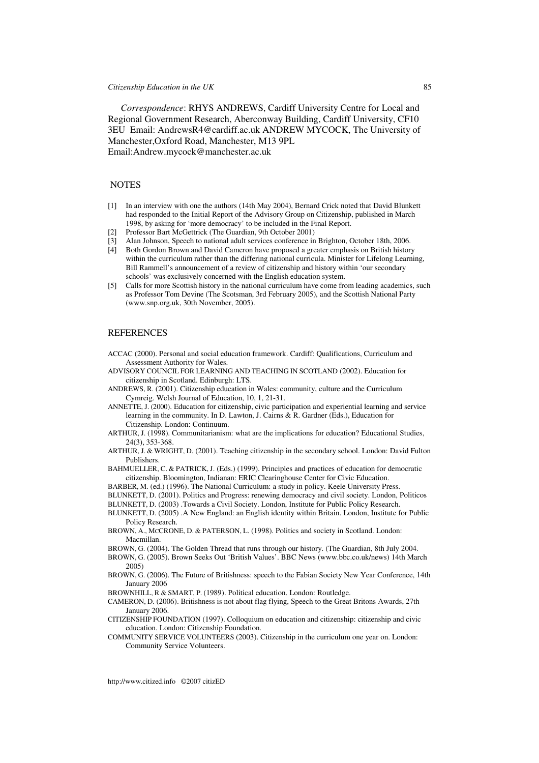#### *Citizenship Education in the UK* 85

*Correspondence*: RHYS ANDREWS, Cardiff University Centre for Local and Regional Government Research, Aberconway Building, Cardiff University, CF10 3EU Email: AndrewsR4@cardiff.ac.uk ANDREW MYCOCK, The University of Manchester,Oxford Road, Manchester, M13 9PL Email:Andrew.mycock@manchester.ac.uk

#### NOTES

- [1] In an interview with one the authors (14th May 2004), Bernard Crick noted that David Blunkett had responded to the Initial Report of the Advisory Group on Citizenship, published in March 1998, by asking for 'more democracy' to be included in the Final Report.
- [2] Professor Bart McGettrick (The Guardian, 9th October 2001)
- [3] Alan Johnson, Speech to national adult services conference in Brighton, October 18th, 2006.
- [4] Both Gordon Brown and David Cameron have proposed a greater emphasis on British history within the curriculum rather than the differing national curricula. Minister for Lifelong Learning, Bill Rammell's announcement of a review of citizenship and history within 'our secondary schools' was exclusively concerned with the English education system.
- [5] Calls for more Scottish history in the national curriculum have come from leading academics, such as Professor Tom Devine (The Scotsman, 3rd February 2005), and the Scottish National Party (www.snp.org.uk, 30th November, 2005).

### **REFERENCES**

- ACCAC (2000). Personal and social education framework. Cardiff: Qualifications, Curriculum and Assessment Authority for Wales.
- ADVISORY COUNCIL FOR LEARNING AND TEACHING IN SCOTLAND (2002). Education for citizenship in Scotland. Edinburgh: LTS.
- ANDREWS, R. (2001). Citizenship education in Wales: community, culture and the Curriculum Cymreig. Welsh Journal of Education, 10, 1, 21-31.
- ANNETTE, J. (2000). Education for citizenship, civic participation and experiential learning and service learning in the community. In D. Lawton, J. Cairns & R. Gardner (Eds.), Education for Citizenship. London: Continuum.
- ARTHUR, J. (1998). Communitarianism: what are the implications for education? Educational Studies, 24(3), 353-368.
- ARTHUR, J. & WRIGHT, D. (2001). Teaching citizenship in the secondary school. London: David Fulton Publishers.
- BAHMUELLER, C. & PATRICK, J. (Eds.) (1999). Principles and practices of education for democratic citizenship. Bloomington, Indianan: ERIC Clearinghouse Center for Civic Education.
- BARBER, M. (ed.) (1996). The National Curriculum: a study in policy. Keele University Press.
- BLUNKETT, D. (2001). Politics and Progress: renewing democracy and civil society. London, Politicos
- BLUNKETT, D. (2003) .Towards a Civil Society. London, Institute for Public Policy Research.
- BLUNKETT, D. (2005) .A New England: an English identity within Britain. London, Institute for Public Policy Research.
- BROWN, A., MCCRONE, D. & PATERSON, L. (1998). Politics and society in Scotland. London: Macmillan.
- BROWN, G. (2004). The Golden Thread that runs through our history. (The Guardian, 8th July 2004.
- BROWN, G. (2005). Brown Seeks Out 'British Values'. BBC News (www.bbc.co.uk/news) 14th March 2005)
- BROWN, G. (2006). The Future of Britishness: speech to the Fabian Society New Year Conference, 14th January 2006
- BROWNHILL, R & SMART, P. (1989). Political education. London: Routledge.
- CAMERON, D. (2006). Britishness is not about flag flying, Speech to the Great Britons Awards, 27th January 2006.
- CITIZENSHIP FOUNDATION (1997). Colloquium on education and citizenship: citizenship and civic education. London: Citizenship Foundation.
- COMMUNITY SERVICE VOLUNTEERS (2003). Citizenship in the curriculum one year on. London: Community Service Volunteers.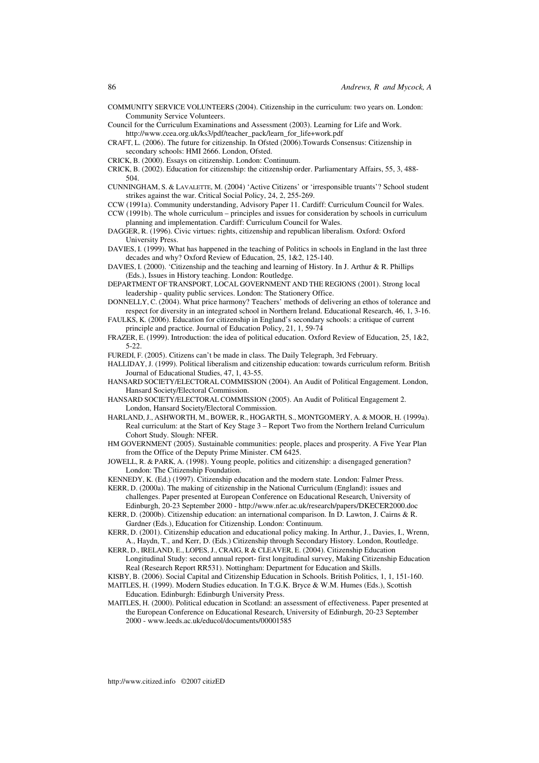COMMUNITY SERVICE VOLUNTEERS (2004). Citizenship in the curriculum: two years on. London: Community Service Volunteers.

Council for the Curriculum Examinations and Assessment (2003). Learning for Life and Work. http://www.ccea.org.uk/ks3/pdf/teacher\_pack/learn\_for\_life+work.pdf

CRAFT, L. (2006). The future for citizenship. In Ofsted (2006).Towards Consensus: Citizenship in secondary schools: HMI 2666. London, Ofsted.

- CRICK, B. (2000). Essays on citizenship. London: Continuum.
- CRICK, B. (2002). Education for citizenship: the citizenship order. Parliamentary Affairs, 55, 3, 488- 504.
- CUNNINGHAM, S. & LAVALETTE, M. (2004) 'Active Citizens' or 'irresponsible truants'? School student strikes against the war. Critical Social Policy, 24, 2, 255-269.
- CCW (1991a). Community understanding, Advisory Paper 11. Cardiff: Curriculum Council for Wales.
- CCW (1991b). The whole curriculum principles and issues for consideration by schools in curriculum planning and implementation. Cardiff: Curriculum Council for Wales.
- DAGGER, R. (1996). Civic virtues: rights, citizenship and republican liberalism. Oxford: Oxford University Press.
- DAVIES, I. (1999). What has happened in the teaching of Politics in schools in England in the last three decades and why? Oxford Review of Education, 25, 1&2, 125-140.
- DAVIES, I. (2000). 'Citizenship and the teaching and learning of History. In J. Arthur & R. Phillips (Eds.), Issues in History teaching. London: Routledge.
- DEPARTMENT OF TRANSPORT, LOCAL GOVERNMENT AND THE REGIONS (2001). Strong local leadership - quality public services. London: The Stationery Office.
- DONNELLY, C. (2004). What price harmony? Teachers' methods of delivering an ethos of tolerance and respect for diversity in an integrated school in Northern Ireland. Educational Research, 46, 1, 3-16.
- FAULKS, K. (2006). Education for citizenship in England's secondary schools: a critique of current principle and practice. Journal of Education Policy, 21, 1, 59-74
- FRAZER, E. (1999). Introduction: the idea of political education. Oxford Review of Education, 25, 1&2, 5-22.
- FUREDI, F. (2005). Citizens can't be made in class. The Daily Telegraph, 3rd February.
- HALLIDAY, J. (1999). Political liberalism and citizenship education: towards curriculum reform. British Journal of Educational Studies, 47, 1, 43-55.
- HANSARD SOCIETY/ELECTORAL COMMISSION (2004). An Audit of Political Engagement. London, Hansard Society/Electoral Commission.
- HANSARD SOCIETY/ELECTORAL COMMISSION (2005). An Audit of Political Engagement 2. London, Hansard Society/Electoral Commission.
- HARLAND, J., ASHWORTH, M., BOWER, R., HOGARTH, S., MONTGOMERY, A. & MOOR, H. (1999a). Real curriculum: at the Start of Key Stage 3 – Report Two from the Northern Ireland Curriculum Cohort Study. Slough: NFER.
- HM GOVERNMENT (2005). Sustainable communities: people, places and prosperity. A Five Year Plan from the Office of the Deputy Prime Minister. CM 6425.

JOWELL, R. & PARK, A. (1998). Young people, politics and citizenship: a disengaged generation? London: The Citizenship Foundation.

KENNEDY, K. (Ed.) (1997). Citizenship education and the modern state. London: Falmer Press.

- KERR, D. (2000a). The making of citizenship in the National Curriculum (England): issues and challenges. Paper presented at European Conference on Educational Research, University of
- Edinburgh, 20-23 September 2000 http://www.nfer.ac.uk/research/papers/DKECER2000.doc KERR, D. (2000b). Citizenship education: an international comparison. In D. Lawton, J. Cairns & R.

Gardner (Eds.), Education for Citizenship. London: Continuum. KERR, D. (2001). Citizenship education and educational policy making. In Arthur, J., Davies, I., Wrenn,

- A., Haydn, T., and Kerr, D. (Eds.) Citizenship through Secondary History. London, Routledge. KERR, D., IRELAND, E., LOPES, J., CRAIG, R & CLEAVER, E. (2004). Citizenship Education
- Longitudinal Study: second annual report- first longitudinal survey, Making Citizenship Education Real (Research Report RR531). Nottingham: Department for Education and Skills.
- KISBY, B. (2006). Social Capital and Citizenship Education in Schools. British Politics, 1, 1, 151-160. MAITLES, H. (1999). Modern Studies education. In T.G.K. Bryce & W.M. Humes (Eds.), Scottish
- Education. Edinburgh: Edinburgh University Press.
- MAITLES, H. (2000). Political education in Scotland: an assessment of effectiveness. Paper presented at the European Conference on Educational Research, University of Edinburgh, 20-23 September 2000 - www.leeds.ac.uk/educol/documents/00001585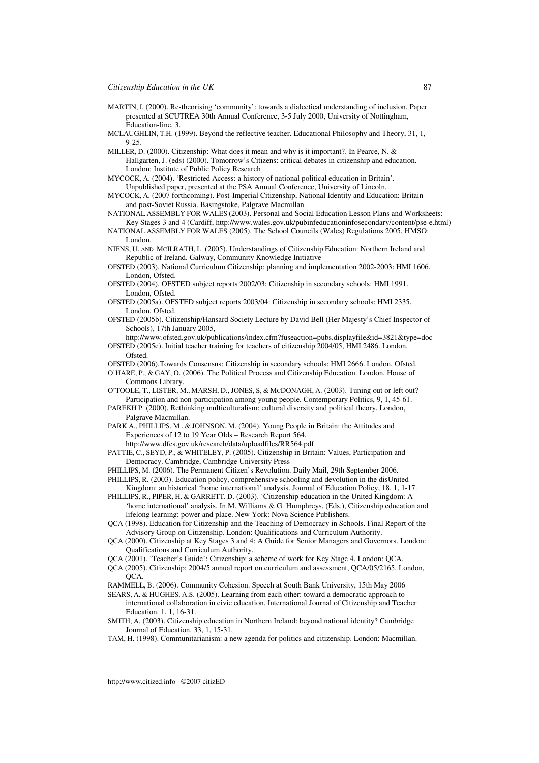- MARTIN, I. (2000). Re-theorising 'community': towards a dialectical understanding of inclusion. Paper presented at SCUTREA 30th Annual Conference, 3-5 July 2000, University of Nottingham, Education-line, 3.
- MCLAUGHLIN, T.H. (1999). Beyond the reflective teacher. Educational Philosophy and Theory, 31, 1, 9-25.
- MILLER, D. (2000). Citizenship: What does it mean and why is it important?. In Pearce, N. & Hallgarten, J. (eds) (2000). Tomorrow's Citizens: critical debates in citizenship and education. London: Institute of Public Policy Research
- MYCOCK, A. (2004). 'Restricted Access: a history of national political education in Britain'. Unpublished paper, presented at the PSA Annual Conference, University of Lincoln.
- MYCOCK, A. (2007 forthcoming). Post-Imperial Citizenship, National Identity and Education: Britain and post-Soviet Russia. Basingstoke, Palgrave Macmillan.
- NATIONAL ASSEMBLY FOR WALES (2003). Personal and Social Education Lesson Plans and Worksheets: Key Stages 3 and 4 (Cardiff, http://www.wales.gov.uk/pubinfeducationinfosecondary/content/pse-e.html)
- NATIONAL ASSEMBLY FOR WALES (2005). The School Councils (Wales) Regulations 2005. HMSO: London.
- NIENS, U. AND MCILRATH, L. (2005). Understandings of Citizenship Education: Northern Ireland and Republic of Ireland. Galway, Community Knowledge Initiative
- OFSTED (2003). National Curriculum Citizenship: planning and implementation 2002-2003: HMI 1606. London, Ofsted.
- OFSTED (2004). OFSTED subject reports 2002/03: Citizenship in secondary schools: HMI 1991. London, Ofsted.
- OFSTED (2005a). OFSTED subject reports 2003/04: Citizenship in secondary schools: HMI 2335. London, Ofsted.
- OFSTED (2005b). Citizenship/Hansard Society Lecture by David Bell (Her Majesty's Chief Inspector of Schools), 17th January 2005,

http://www.ofsted.gov.uk/publications/index.cfm?fuseaction=pubs.displayfile&id=3821&type=doc OFSTED (2005c). Initial teacher training for teachers of citizenship 2004/05, HMI 2486. London, Ofsted.

- OFSTED (2006).Towards Consensus: Citizenship in secondary schools: HMI 2666. London, Ofsted.
- O'HARE, P., & GAY, O. (2006). The Political Process and Citizenship Education. London, House of Commons Library.
- O'TOOLE, T., LISTER, M., MARSH, D., JONES, S, & MCDONAGH, A. (2003). Tuning out or left out? Participation and non-participation among young people. Contemporary Politics, 9, 1, 45-61.
- PAREKH P. (2000). Rethinking multiculturalism: cultural diversity and political theory. London, Palgrave Macmillan.
- PARK A., PHILLIPS, M., & JOHNSON, M. (2004). Young People in Britain: the Attitudes and Experiences of 12 to 19 Year Olds – Research Report 564,
	- http://www.dfes.gov.uk/research/data/uploadfiles/RR564.pdf
- PATTIE, C., SEYD, P., & WHITELEY, P. (2005). Citizenship in Britain: Values, Participation and Democracy. Cambridge, Cambridge University Press
- PHILLIPS, M. (2006). The Permanent Citizen's Revolution. Daily Mail, 29th September 2006. PHILLIPS, R. (2003). Education policy, comprehensive schooling and devolution in the disUnited
- Kingdom: an historical 'home international' analysis. Journal of Education Policy, 18, 1, 1-17. PHILLIPS, R., PIPER, H. & GARRETT, D. (2003). 'Citizenship education in the United Kingdom: A
- 'home international' analysis. In M. Williams & G. Humphreys, (Eds.), Citizenship education and lifelong learning: power and place. New York: Nova Science Publishers.
- QCA (1998). Education for Citizenship and the Teaching of Democracy in Schools. Final Report of the Advisory Group on Citizenship. London: Qualifications and Curriculum Authority.
- QCA (2000). Citizenship at Key Stages 3 and 4: A Guide for Senior Managers and Governors. London: Qualifications and Curriculum Authority.
- QCA (2001). 'Teacher's Guide': Citizenship: a scheme of work for Key Stage 4. London: QCA.
- QCA (2005). Citizenship: 2004/5 annual report on curriculum and assessment, QCA/05/2165. London, QCA.
- RAMMELL, B. (2006). Community Cohesion. Speech at South Bank University, 15th May 2006
- SEARS, A. & HUGHES, A.S. (2005). Learning from each other: toward a democratic approach to international collaboration in civic education. International Journal of Citizenship and Teacher Education. 1, 1, 16-31.
- SMITH, A. (2003). Citizenship education in Northern Ireland: beyond national identity? Cambridge Journal of Education. 33, 1, 15-31.
- TAM, H. (1998). Communitarianism: a new agenda for politics and citizenship. London: Macmillan.